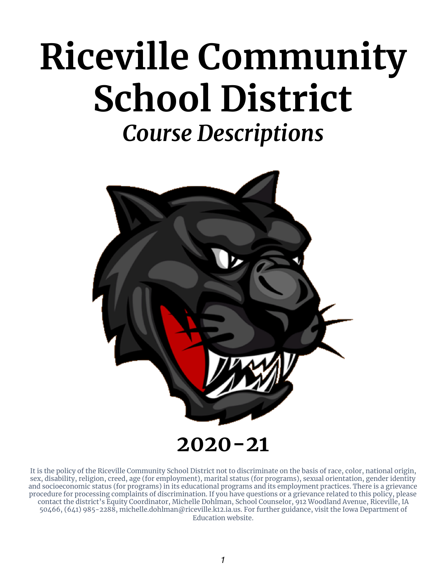# **Riceville Community School District** *Course Descriptions*



It is the policy of the Riceville Community School District not to discriminate on the basis of race, color, national origin, sex, disability, religion, creed, age (for employment), marital status (for programs), sexual orientation, gender identity and socioeconomic status (for programs) in its educational programs and its employment practices. There is a grievance procedure for processing complaints of discrimination. If you have questions or a grievance related to this policy, please contact the district's Equity Coordinator, Michelle Dohlman, School Counselor, 912 Woodland Avenue, Riceville, IA 50466, (641) 985-2288, michelle.dohlman@riceville.k12.ia.us. For further guidance, visit the Iowa Department of Education website.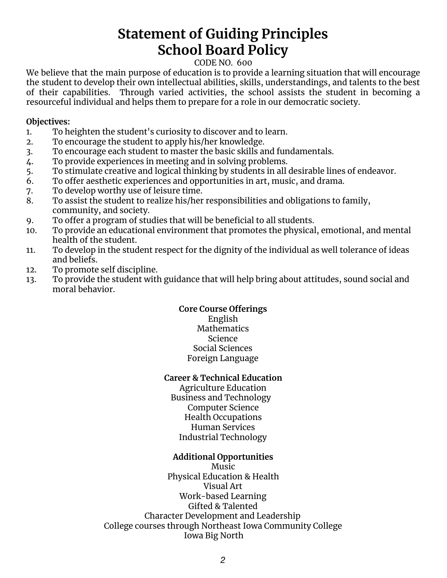# **Statement of Guiding Principles School Board Policy**

#### CODE NO. 600

We believe that the main purpose of education is to provide a learning situation that will encourage the student to develop their own intellectual abilities, skills, understandings, and talents to the best of their capabilities. Through varied activities, the school assists the student in becoming a resourceful individual and helps them to prepare for a role in our democratic society.

#### **Objectives:**

- 1. To heighten the student's curiosity to discover and to learn.
- 2. To encourage the student to apply his/her knowledge.
- 3. To encourage each student to master the basic skills and fundamentals.
- 4. To provide experiences in meeting and in solving problems.
- 5. To stimulate creative and logical thinking by students in all desirable lines of endeavor.
- 6. To offer aesthetic experiences and opportunities in art, music, and drama.
- 7. To develop worthy use of leisure time.
- 8. To assist the student to realize his/her responsibilities and obligations to family, community, and society.
- 9. To offer a program of studies that will be beneficial to all students.
- 10. To provide an educational environment that promotes the physical, emotional, and mental health of the student.
- 11. To develop in the student respect for the dignity of the individual as well tolerance of ideas and beliefs.
- 12. To promote self discipline.
- 13. To provide the student with guidance that will help bring about attitudes, sound social and moral behavior.

#### **Core Course Offerings**

English **Mathematics** Science Social Sciences Foreign Language

#### **Career & Technical Education**

Agriculture Education Business and Technology Computer Science Health Occupations Human Services Industrial Technology

#### **Additional Opportunities**

Music Physical Education & Health Visual Art Work-based Learning Gifted & Talented Character Development and Leadership College courses through Northeast Iowa Community College Iowa Big North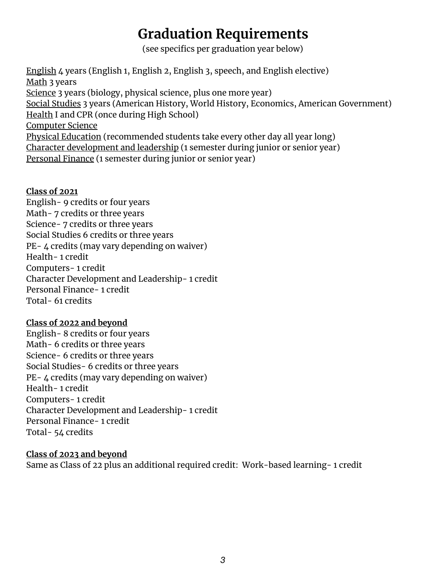# **Graduation Requirements**

(see specifics per graduation year below)

English 4 years (English 1, English 2, English 3, speech, and English elective) Math 3 years Science 3 years (biology, physical science, plus one more year) Social Studies 3 years (American History, World History, Economics, American Government) Health I and CPR (once during High School) Computer Science Physical Education (recommended students take every other day all year long) Character development and leadership (1 semester during junior or senior year) Personal Finance (1 semester during junior or senior year)

#### **Class of 2021**

English- 9 credits or four years Math- 7 credits or three years Science- 7 credits or three years Social Studies 6 credits or three years PE- 4 credits (may vary depending on waiver) Health- 1 credit Computers- 1 credit Character Development and Leadership- 1 credit Personal Finance- 1 credit Total- 61 credits

#### **Class of 2022 and beyond**

English- 8 credits or four years Math- 6 credits or three years Science- 6 credits or three years Social Studies- 6 credits or three years PE- 4 credits (may vary depending on waiver) Health- 1 credit Computers- 1 credit Character Development and Leadership- 1 credit Personal Finance- 1 credit Total- 54 credits

#### **Class of 2023 and beyond**

Same as Class of 22 plus an additional required credit: Work-based learning- 1 credit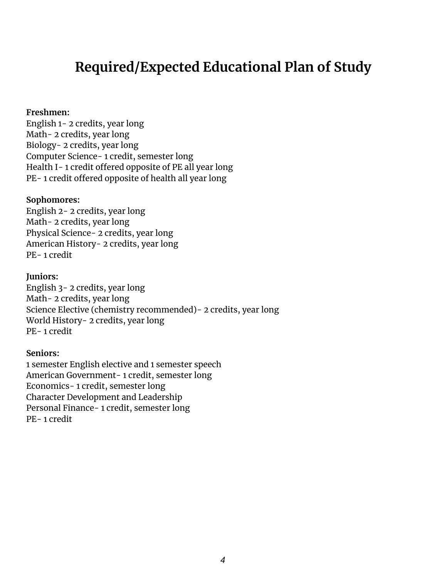# **Required/Expected Educational Plan of Study**

#### **Freshmen:**

English 1- 2 credits, year long Math- 2 credits, year long Biology- 2 credits, year long Computer Science- 1 credit, semester long Health I- 1 credit offered opposite of PE all year long PE- 1 credit offered opposite of health all year long

#### **Sophomores:**

English 2- 2 credits, year long Math- 2 credits, year long Physical Science- 2 credits, year long American History- 2 credits, year long PE- 1 credit

#### **Juniors:**

English 3- 2 credits, year long Math- 2 credits, year long Science Elective (chemistry recommended)- 2 credits, year long World History- 2 credits, year long PE- 1 credit

#### **Seniors:**

1 semester English elective and 1 semester speech American Government- 1 credit, semester long Economics- 1 credit, semester long Character Development and Leadership Personal Finance- 1 credit, semester long PE- 1 credit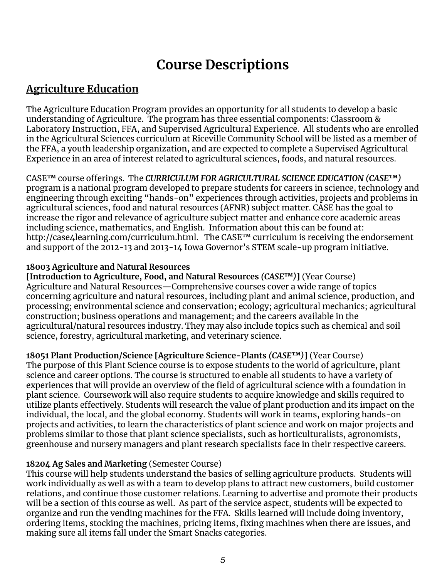# **Course Descriptions**

# **Agriculture Education**

The Agriculture Education Program provides an opportunity for all students to develop a basic understanding of Agriculture. The program has three essential components: Classroom & Laboratory Instruction, FFA, and Supervised Agricultural Experience. All students who are enrolled in the Agricultural Sciences curriculum at Riceville Community School will be listed as a member of the FFA, a youth leadership organization, and are expected to complete a Supervised Agricultural Experience in an area of interest related to agricultural sciences, foods, and natural resources.

CASE**™** course offerings. The *CURRICULUM FOR AGRICULTURAL SCIENCE EDUCATION (CASE***™***)* program is a national program developed to prepare students for careers in science, technology and engineering through exciting "hands-on" experiences through activities, projects and problems in agricultural sciences, food and natural resources (AFNR) subject matter. CASE has the goal to increase the rigor and relevance of agriculture subject matter and enhance core academic areas including science, mathematics, and English. Information about this can be found at: <http://case4learning.com/curriculum.html>. The CASE<sup>™</sup> curriculum is receiving the endorsement and support of the 2012-13 and 2013-14 Iowa Governor's STEM scale-up program initiative.

#### **18003 Agriculture and Natural Resources**

**[Introduction to Agriculture, Food, and Natural Resources** *(CASE***™***)***]** (Year Course) Agriculture and Natural Resources—Comprehensive courses cover a wide range of topics concerning agriculture and natural resources, including plant and animal science, production, and processing; environmental science and conservation; ecology; agricultural mechanics; agricultural construction; business operations and management; and the careers available in the agricultural/natural resources industry. They may also include topics such as chemical and soil science, forestry, agricultural marketing, and veterinary science.

**18051 Plant Production/Science [Agriculture Science-Plants** *(CASE***™***)***]** (Year Course)

The purpose of this Plant Science course is to expose students to the world of agriculture, plant science and career options. The course is structured to enable all students to have a variety of experiences that will provide an overview of the field of agricultural science with a foundation in plant science. Coursework will also require students to acquire knowledge and skills required to utilize plants effectively. Students will research the value of plant production and its impact on the individual, the local, and the global economy. Students will work in teams, exploring hands-on projects and activities, to learn the characteristics of plant science and work on major projects and problems similar to those that plant science specialists, such as horticulturalists, agronomists, greenhouse and nursery managers and plant research specialists face in their respective careers.

#### **18204 Ag Sales and Marketing** (Semester Course)

This course will help students understand the basics of selling agriculture products. Students will work individually as well as with a team to develop plans to attract new customers, build customer relations, and continue those customer relations. Learning to advertise and promote their products will be a section of this course as well. As part of the service aspect, students will be expected to organize and run the vending machines for the FFA. Skills learned will include doing inventory, ordering items, stocking the machines, pricing items, fixing machines when there are issues, and making sure all items fall under the Smart Snacks categories.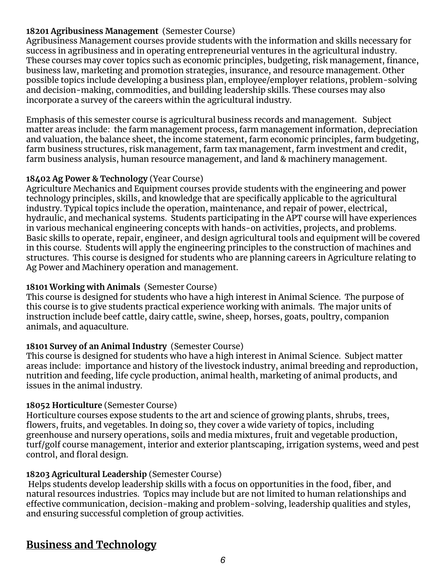#### **18201 Agribusiness Management** (Semester Course)

Agribusiness Management courses provide students with the information and skills necessary for success in agribusiness and in operating entrepreneurial ventures in the agricultural industry. These courses may cover topics such as economic principles, budgeting, risk management, finance, business law, marketing and promotion strategies, insurance, and resource management. Other possible topics include developing a business plan, employee/employer relations, problem-solving and decision-making, commodities, and building leadership skills. These courses may also incorporate a survey of the careers within the agricultural industry.

Emphasis of this semester course is agricultural business records and management. Subject matter areas include: the farm management process, farm management information, depreciation and valuation, the balance sheet, the income statement, farm economic principles, farm budgeting, farm business structures, risk management, farm tax management, farm investment and credit, farm business analysis, human resource management, and land & machinery management.

#### **18402 Ag Power & Technology** (Year Course)

Agriculture Mechanics and Equipment courses provide students with the engineering and power technology principles, skills, and knowledge that are specifically applicable to the agricultural industry. Typical topics include the operation, maintenance, and repair of power, electrical, hydraulic, and mechanical systems. Students participating in the APT course will have experiences in various mechanical engineering concepts with hands-on activities, projects, and problems. Basic skills to operate, repair, engineer, and design agricultural tools and equipment will be covered in this course. Students will apply the engineering principles to the construction of machines and structures. This course is designed for students who are planning careers in Agriculture relating to Ag Power and Machinery operation and management.

#### **18101 Working with Animals** (Semester Course)

This course is designed for students who have a high interest in Animal Science. The purpose of this course is to give students practical experience working with animals. The major units of instruction include beef cattle, dairy cattle, swine, sheep, horses, goats, poultry, companion animals, and aquaculture.

#### **18101 Survey of an Animal Industry** (Semester Course)

This course is designed for students who have a high interest in Animal Science. Subject matter areas include: importance and history of the livestock industry, animal breeding and reproduction, nutrition and feeding, life cycle production, animal health, marketing of animal products, and issues in the animal industry.

#### **18052 Horticulture** (Semester Course)

Horticulture courses expose students to the art and science of growing plants, shrubs, trees, flowers, fruits, and vegetables. In doing so, they cover a wide variety of topics, including greenhouse and nursery operations, soils and media mixtures, fruit and vegetable production, turf/golf course management, interior and exterior plantscaping, irrigation systems, weed and pest control, and floral design.

#### **18203 Agricultural Leadership** (Semester Course)

Helps students develop leadership skills with a focus on opportunities in the food, fiber, and natural resources industries. Topics may include but are not limited to human relationships and effective communication, decision-making and problem-solving, leadership qualities and styles, and ensuring successful completion of group activities.

# **Business and Technology**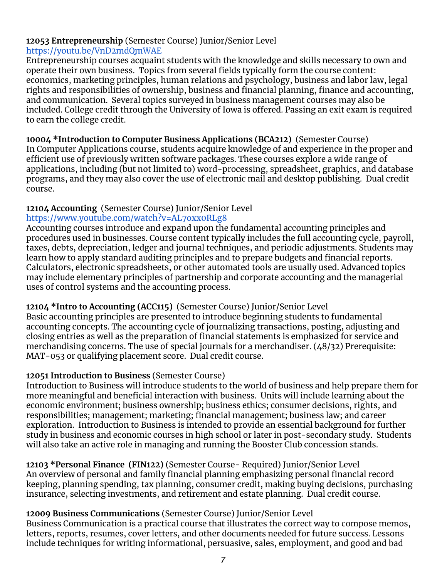# **12053 Entrepreneurship** (Semester Course) Junior/Senior Level

<https://youtu.be/VnD2mdQmWAE>

Entrepreneurship courses acquaint students with the knowledge and skills necessary to own and operate their own business. Topics from several fields typically form the course content: economics, marketing principles, human relations and psychology, business and labor law, legal rights and responsibilities of ownership, business and financial planning, finance and accounting, and communication. Several topics surveyed in business management courses may also be included. College credit through the University of Iowa is offered. Passing an exit exam is required to earn the college credit.

**10004 \*Introduction to Computer Business Applications (BCA212)** (Semester Course) In Computer Applications course, students acquire knowledge of and experience in the proper and efficient use of previously written software packages. These courses explore a wide range of applications, including (but not limited to) word-processing, spreadsheet, graphics, and database programs, and they may also cover the use of electronic mail and desktop publishing. Dual credit course.

# **12104 Accounting** (Semester Course) Junior/Senior Level

#### <https://www.youtube.com/watch?v=AL7oxx0RLg8>

Accounting courses introduce and expand upon the fundamental accounting principles and procedures used in businesses. Course content typically includes the full accounting cycle, payroll, taxes, debts, depreciation, ledger and journal techniques, and periodic adjustments. Students may learn how to apply standard auditing principles and to prepare budgets and financial reports. Calculators, electronic spreadsheets, or other automated tools are usually used. Advanced topics may include elementary principles of partnership and corporate accounting and the managerial uses of control systems and the accounting process.

#### **12104 \*Intro to Accounting (ACC115)** (Semester Course) Junior/Senior Level

Basic accounting principles are presented to introduce beginning students to fundamental accounting concepts. The accounting cycle of journalizing transactions, posting, adjusting and closing entries as well as the preparation of financial statements is emphasized for service and merchandising concerns. The use of special journals for a merchandiser. (48/32) Prerequisite: MAT-053 or qualifying placement score. Dual credit course.

#### **12051 Introduction to Business** (Semester Course)

Introduction to Business will introduce students to the world of business and help prepare them for more meaningful and beneficial interaction with business. Units will include learning about the economic environment; business ownership; business ethics; consumer decisions, rights, and responsibilities; management; marketing; financial management; business law; and career exploration. Introduction to Business is intended to provide an essential background for further study in business and economic courses in high school or later in post-secondary study. Students will also take an active role in managing and running the Booster Club concession stands.

**12103 \*Personal Finance (FIN122)** (Semester Course- Required) Junior/Senior Level An overview of personal and family financial planning emphasizing personal financial record keeping, planning spending, tax planning, consumer credit, making buying decisions, purchasing insurance, selecting investments, and retirement and estate planning. Dual credit course.

#### **12009 Business Communications** (Semester Course) Junior/Senior Level

Business Communication is a practical course that illustrates the correct way to compose memos, letters, reports, resumes, cover letters, and other documents needed for future success. Lessons include techniques for writing informational, persuasive, sales, employment, and good and bad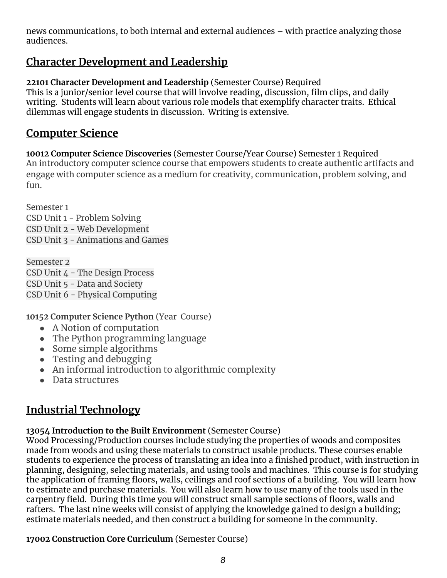news communications, to both internal and external audiences – with practice analyzing those audiences.

# **Character Development and Leadership**

**22101 Character Development and Leadership** (Semester Course) Required This is a junior/senior level course that will involve reading, discussion, film clips, and daily writing. Students will learn about various role models that exemplify character traits. Ethical dilemmas will engage students in discussion. Writing is extensive.

# **Computer Science**

**10012 Computer Science Discoveries** (Semester Course/Year Course) Semester 1 Required An introductory computer science course that empowers students to create authentic artifacts and engage with computer science as a medium for creativity, communication, problem solving, and fun.

Semester 1 CSD Unit 1 - Problem Solving CSD Unit 2 - Web Development CSD Unit 3 - Animations and Games

Semester 2 CSD Unit 4 - The Design Process CSD Unit 5 - Data and Society CSD Unit 6 - Physical Computing

**10152 Computer Science Python** (Year Course)

- A Notion of computation
- The Python programming language
- Some simple algorithms
- Testing and debugging
- An informal introduction to algorithmic complexity
- Data structures

# **Industrial Technology**

## **13054 Introduction to the Built Environment** (Semester Course)

Wood Processing/Production courses include studying the properties of woods and composites made from woods and using these materials to construct usable products. These courses enable students to experience the process of translating an idea into a finished product, with instruction in planning, designing, selecting materials, and using tools and machines. This course is for studying the application of framing floors, walls, ceilings and roof sections of a building. You will learn how to estimate and purchase materials. You will also learn how to use many of the tools used in the carpentry field. During this time you will construct small sample sections of floors, walls and rafters. The last nine weeks will consist of applying the knowledge gained to design a building; estimate materials needed, and then construct a building for someone in the community.

**17002 Construction Core Curriculum** (Semester Course)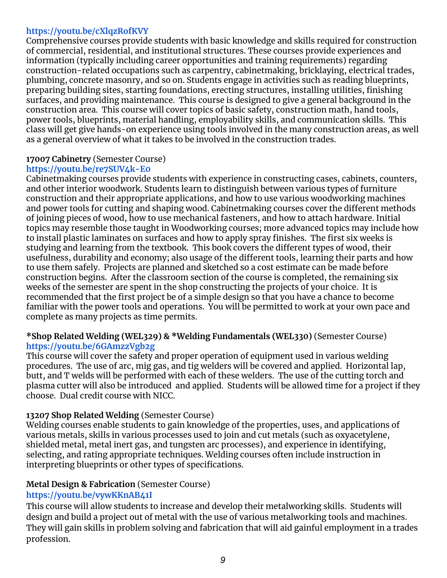#### **<https://youtu.be/cXlqzRofKVY>**

Comprehensive courses provide students with basic knowledge and skills required for construction of commercial, residential, and institutional structures. These courses provide experiences and information (typically including career opportunities and training requirements) regarding construction-related occupations such as carpentry, cabinetmaking, bricklaying, electrical trades, plumbing, concrete masonry, and so on. Students engage in activities such as reading blueprints, preparing building sites, starting foundations, erecting structures, installing utilities, finishing surfaces, and providing maintenance. This course is designed to give a general background in the construction area. This course will cover topics of basic safety, construction math, hand tools, power tools, blueprints, material handling, employability skills, and communication skills. This class will get give hands-on experience using tools involved in the many construction areas, as well as a general overview of what it takes to be involved in the construction trades.

#### **17007 Cabinetry** (Semester Course)

#### **<https://youtu.be/re7SUV4k-E0>**

Cabinetmaking courses provide students with experience in constructing cases, cabinets, counters, and other interior woodwork. Students learn to distinguish between various types of furniture construction and their appropriate applications, and how to use various woodworking machines and power tools for cutting and shaping wood. Cabinetmaking courses cover the different methods of joining pieces of wood, how to use mechanical fasteners, and how to attach hardware. Initial topics may resemble those taught in Woodworking courses; more advanced topics may include how to install plastic laminates on surfaces and how to apply spray finishes. The first six weeks is studying and learning from the textbook. This book covers the different types of wood, their usefulness, durability and economy; also usage of the different tools, learning their parts and how to use them safely. Projects are planned and sketched so a cost estimate can be made before construction begins. After the classroom section of the course is completed, the remaining six weeks of the semester are spent in the shop constructing the projects of your choice. It is recommended that the first project be of a simple design so that you have a chance to become familiar with the power tools and operations. You will be permitted to work at your own pace and complete as many projects as time permits.

#### **\*Shop Related Welding (WEL329) & \*Welding Fundamentals (WEL330)** (Semester Course) **<https://youtu.be/6GAmzzVgb2g>**

This course will cover the safety and proper operation of equipment used in various welding procedures. The use of arc, mig gas, and tig welders will be covered and applied. Horizontal lap, butt, and T welds will be performed with each of these welders. The use of the cutting torch and plasma cutter will also be introduced and applied. Students will be allowed time for a project if they choose. Dual credit course with NICC.

#### **13207 Shop Related Welding** (Semester Course)

Welding courses enable students to gain knowledge of the properties, uses, and applications of various metals, skills in various processes used to join and cut metals (such as oxyacetylene, shielded metal, metal inert gas, and tungsten arc processes), and experience in identifying, selecting, and rating appropriate techniques. Welding courses often include instruction in interpreting blueprints or other types of specifications.

#### **Metal Design & Fabrication** (Semester Course)

#### **<https://youtu.be/vywKKnAB41I>**

This course will allow students to increase and develop their metalworking skills. Students will design and build a project out of metal with the use of various metalworking tools and machines. They will gain skills in problem solving and fabrication that will aid gainful employment in a trades profession.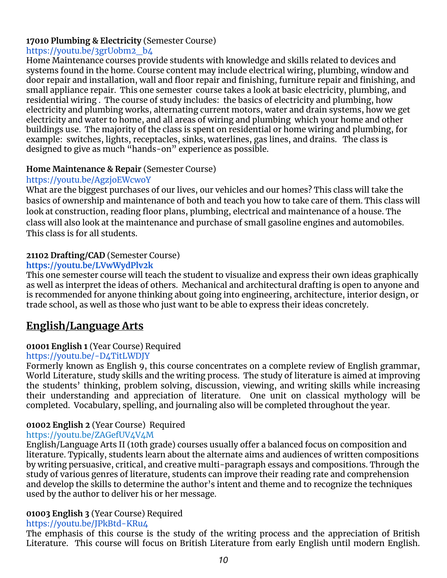#### **17010 Plumbing & Electricity** (Semester Course)

#### [https://youtu.be/3grUobm2\\_b4](https://youtu.be/3grUobm2_b4)

Home Maintenance courses provide students with knowledge and skills related to devices and systems found in the home. Course content may include electrical wiring, plumbing, window and door repair and installation, wall and floor repair and finishing, furniture repair and finishing, and small appliance repair. This one semester course takes a look at basic electricity, plumbing, and residential wiring . The course of study includes: the basics of electricity and plumbing, how electricity and plumbing works, alternating current motors, water and drain systems, how we get electricity and water to home, and all areas of wiring and plumbing which your home and other buildings use. The majority of the class is spent on residential or home wiring and plumbing, for example: switches, lights, receptacles, sinks, waterlines, gas lines, and drains. The class is designed to give as much "hands-on" experience as possible.

#### **Home Maintenance & Repair** (Semester Course)

#### <https://youtu.be/AgzjoEWcwoY>

What are the biggest purchases of our lives, our vehicles and our homes? This class will take the basics of ownership and maintenance of both and teach you how to take care of them. This class will look at construction, reading floor plans, plumbing, electrical and maintenance of a house. The class will also look at the maintenance and purchase of small gasoline engines and automobiles. This class is for all students.

#### **21102 Drafting/CAD** (Semester Course)

#### **<https://youtu.be/LVwWydPlv2k>**

This one semester course will teach the student to visualize and express their own ideas graphically as well as interpret the ideas of others. Mechanical and architectural drafting is open to anyone and is recommended for anyone thinking about going into engineering, architecture, interior design, or trade school, as well as those who just want to be able to express their ideas concretely.

# **English/Language Arts**

#### **01001 English 1** (Year Course) Required

#### <https://youtu.be/-D4TitLWDJY>

Formerly known as English 9, this course concentrates on a complete review of English grammar, World Literature, study skills and the writing process. The study of literature is aimed at improving the students' thinking, problem solving, discussion, viewing, and writing skills while increasing their understanding and appreciation of literature. One unit on classical mythology will be completed. Vocabulary, spelling, and journaling also will be completed throughout the year.

#### **01002 English 2** (Year Course) Required

#### <https://youtu.be/ZAGefUV4V4M>

English/Language Arts II (10th grade) courses usually offer a balanced focus on composition and literature. Typically, students learn about the alternate aims and audiences of written compositions by writing persuasive, critical, and creative multi-paragraph essays and compositions. Through the study of various genres of literature, students can improve their reading rate and comprehension and develop the skills to determine the author's intent and theme and to recognize the techniques used by the author to deliver his or her message.

#### **01003 English 3** (Year Course) Required

#### <https://youtu.be/JPkBtd-KRu4>

The emphasis of this course is the study of the writing process and the appreciation of British Literature. This course will focus on British Literature from early English until modern English.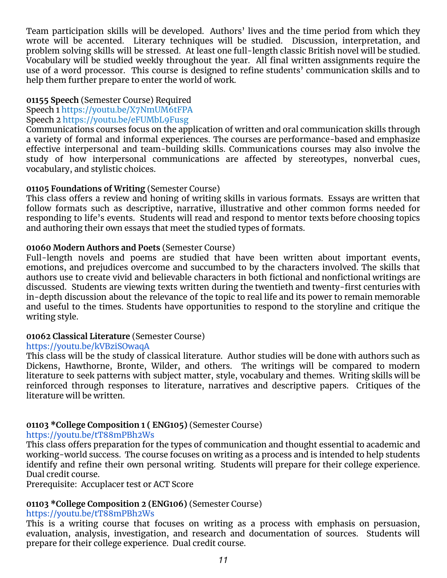Team participation skills will be developed. Authors' lives and the time period from which they wrote will be accented. Literary techniques will be studied. Discussion, interpretation, and problem solving skills will be stressed. At least one full-length classic British novel will be studied. Vocabulary will be studied weekly throughout the year. All final written assignments require the use of a word processor. This course is designed to refine students' communication skills and to help them further prepare to enter the world of work.

#### **01155 Speech** (Semester Course) Required

Speech 1 <https://youtu.be/X7NmUM6tFPA>

#### Speech 2 <https://youtu.be/eFUMbL9Fusg>

Communications courses focus on the application of written and oral communication skills through a variety of formal and informal experiences. The courses are performance-based and emphasize effective interpersonal and team-building skills. Communications courses may also involve the study of how interpersonal communications are affected by stereotypes, nonverbal cues, vocabulary, and stylistic choices.

#### **01105 Foundations of Writing** (Semester Course)

This class offers a review and honing of writing skills in various formats. Essays are written that follow formats such as descriptive, narrative, illustrative and other common forms needed for responding to life's events. Students will read and respond to mentor texts before choosing topics and authoring their own essays that meet the studied types of formats.

#### **01060 Modern Authors and Poets** (Semester Course)

Full-length novels and poems are studied that have been written about important events, emotions, and prejudices overcome and succumbed to by the characters involved. The skills that authors use to create vivid and believable characters in both fictional and nonfictional writings are discussed. Students are viewing texts written during the twentieth and twenty-first centuries with in-depth discussion about the relevance of the topic to real life and its power to remain memorable and useful to the times. Students have opportunities to respond to the storyline and critique the writing style.

#### **01062 Classical Literature** (Semester Course)

#### <https://youtu.be/kVBziSOwaqA>

This class will be the study of classical literature. Author studies will be done with authors such as Dickens, Hawthorne, Bronte, Wilder, and others. The writings will be compared to modern literature to seek patterns with subject matter, style, vocabulary and themes. Writing skills will be reinforced through responses to literature, narratives and descriptive papers. Critiques of the literature will be written.

#### **01103 \*College Composition 1 ( ENG105)** (Semester Course)

#### <https://youtu.be/tT88mPBh2Ws>

This class offers preparation for the types of communication and thought essential to academic and working-world success. The course focuses on writing as a process and is intended to help students identify and refine their own personal writing. Students will prepare for their college experience. Dual credit course.

Prerequisite: Accuplacer test or ACT Score

#### **01103 \*College Composition 2 (ENG106)** (Semester Course)

#### <https://youtu.be/tT88mPBh2Ws>

This is a writing course that focuses on writing as a process with emphasis on persuasion, evaluation, analysis, investigation, and research and documentation of sources. Students will prepare for their college experience. Dual credit course.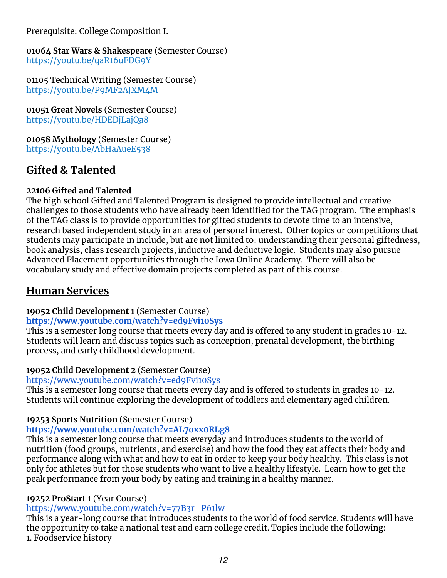Prerequisite: College Composition I.

**01064 Star Wars & Shakespeare** (Semester Course) <https://youtu.be/qaR16uFDG9Y>

01105 Technical Writing (Semester Course) <https://youtu.be/P9MF2AJXM4M>

**01051 Great Novels** (Semester Course) <https://youtu.be/HDEDjLajQa8>

**01058 Mythology** (Semester Course) <https://youtu.be/AbHaAueE538>

# **Gifted & Talented**

#### **22106 Gifted and Talented**

The high school Gifted and Talented Program is designed to provide intellectual and creative challenges to those students who have already been identified for the TAG program. The emphasis of the TAG class is to provide opportunities for gifted students to devote time to an intensive, research based independent study in an area of personal interest. Other topics or competitions that students may participate in include, but are not limited to: understanding their personal giftedness, book analysis, class research projects, inductive and deductive logic. Students may also pursue Advanced Placement opportunities through the Iowa Online Academy. There will also be vocabulary study and effective domain projects completed as part of this course.

## **Human Services**

#### **19052 Child Development 1** (Semester Course)

#### **<https://www.youtube.com/watch?v=ed9Fvi10Sys>**

This is a semester long course that meets every day and is offered to any student in grades 10-12. Students will learn and discuss topics such as conception, prenatal development, the birthing process, and early childhood development.

#### **19052 Child Development 2** (Semester Course)

#### <https://www.youtube.com/watch?v=ed9Fvi10Sys>

This is a semester long course that meets every day and is offered to students in grades 10-12. Students will continue exploring the development of toddlers and elementary aged children.

#### **19253 Sports Nutrition** (Semester Course)

#### **<https://www.youtube.com/watch?v=AL7oxx0RLg8>**

This is a semester long course that meets everyday and introduces students to the world of nutrition (food groups, nutrients, and exercise) and how the food they eat affects their body and performance along with what and how to eat in order to keep your body healthy. This class is not only for athletes but for those students who want to live a healthy lifestyle. Learn how to get the peak performance from your body by eating and training in a healthy manner.

#### **19252 ProStart 1** (Year Course)

#### [https://www.youtube.com/watch?v=77B3r\\_P61lw](https://www.youtube.com/watch?v=77B3r_P61lw)

This is a year-long course that introduces students to the world of food service. Students will have the opportunity to take a national test and earn college credit. Topics include the following: 1. Foodservice history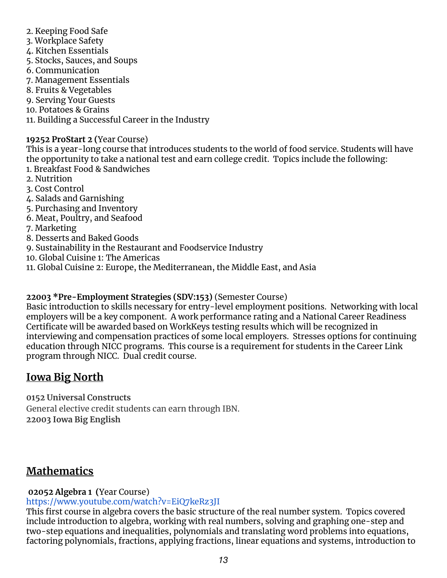- 2. Keeping Food Safe
- 3. Workplace Safety
- 4. Kitchen Essentials
- 5. Stocks, Sauces, and Soups
- 6. Communication
- 7. Management Essentials
- 8. Fruits & Vegetables
- 9. Serving Your Guests
- 10. Potatoes & Grains
- 11. Building a Successful Career in the Industry

#### **19252 ProStart 2 (**Year Course)

This is a year-long course that introduces students to the world of food service. Students will have the opportunity to take a national test and earn college credit. Topics include the following: 1. Breakfast Food & Sandwiches

- 2. Nutrition
- 3. Cost Control
- 4. Salads and Garnishing
- 5. Purchasing and Inventory
- 6. Meat, Poultry, and Seafood
- 7. Marketing
- 8. Desserts and Baked Goods
- 9. Sustainability in the Restaurant and Foodservice Industry
- 10. Global Cuisine 1: The Americas
- 11. Global Cuisine 2: Europe, the Mediterranean, the Middle East, and Asia

#### **22003 \*Pre-Employment Strategies (SDV:153)** (Semester Course)

Basic introduction to skills necessary for entry-level employment positions. Networking with local employers will be a key component. A work performance rating and a National Career Readiness Certificate will be awarded based on WorkKeys testing results which will be recognized in interviewing and compensation practices of some local employers. Stresses options for continuing education through NICC programs. This course is a requirement for students in the Career Link program through NICC. Dual credit course.

# **Iowa Big North**

**0152 Universal Constructs** General elective credit students can earn through IBN. **22003 Iowa Big English**

# **Mathematics**

## **02052 Algebra 1 (**Year Course)

#### <https://www.youtube.com/watch?v=EiQ7keRz3JI>

This first course in algebra covers the basic structure of the real number system. Topics covered include introduction to algebra, working with real numbers, solving and graphing one-step and two-step equations and inequalities, polynomials and translating word problems into equations, factoring polynomials, fractions, applying fractions, linear equations and systems, introduction to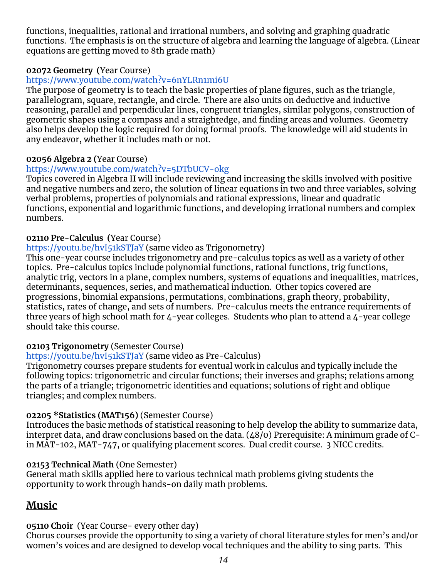functions, inequalities, rational and irrational numbers, and solving and graphing quadratic functions. The emphasis is on the structure of algebra and learning the language of algebra. (Linear equations are getting moved to 8th grade math)

#### **02072 Geometry (**Year Course)

#### <https://www.youtube.com/watch?v=6nYLRn1mi6U>

The purpose of geometry is to teach the basic properties of plane figures, such as the triangle, parallelogram, square, rectangle, and circle. There are also units on deductive and inductive reasoning, parallel and perpendicular lines, congruent triangles, similar polygons, construction of geometric shapes using a compass and a straightedge, and finding areas and volumes. Geometry also helps develop the logic required for doing formal proofs. The knowledge will aid students in any endeavor, whether it includes math or not.

#### **02056 Algebra 2 (**Year Course)

#### <https://www.youtube.com/watch?v=5DTbUCV-okg>

Topics covered in Algebra II will include reviewing and increasing the skills involved with positive and negative numbers and zero, the solution of linear equations in two and three variables, solving verbal problems, properties of polynomials and rational expressions, linear and quadratic functions, exponential and logarithmic functions, and developing irrational numbers and complex numbers.

#### **02110 Pre-Calculus (**Year Course)

#### <https://youtu.be/hvI51kSTJaY> (same video as Trigonometry)

This one-year course includes trigonometry and pre-calculus topics as well as a variety of other topics. Pre-calculus topics include polynomial functions, rational functions, trig functions, analytic trig, vectors in a plane, complex numbers, systems of equations and inequalities, matrices, determinants, sequences, series, and mathematical induction. Other topics covered are progressions, binomial expansions, permutations, combinations, graph theory, probability, statistics, rates of change, and sets of numbers. Pre-calculus meets the entrance requirements of three years of high school math for 4-year colleges. Students who plan to attend a 4-year college should take this course.

#### **02103 Trigonometry** (Semester Course)

#### <https://youtu.be/hvI51kSTJaY> (same video as Pre-Calculus)

Trigonometry courses prepare students for eventual work in calculus and typically include the following topics: trigonometric and circular functions; their inverses and graphs; relations among the parts of a triangle; trigonometric identities and equations; solutions of right and oblique triangles; and complex numbers.

#### **02205 \*Statistics (MAT156)** (Semester Course)

Introduces the basic methods of statistical reasoning to help develop the ability to summarize data, interpret data, and draw conclusions based on the data. (48/0) Prerequisite: A minimum grade of Cin MAT-102, MAT-747, or qualifying placement scores. Dual credit course. 3 NICC credits.

#### **02153 Technical Math** (One Semester)

General math skills applied here to various technical math problems giving students the opportunity to work through hands-on daily math problems.

## **Music**

#### **05110 Choir** (Year Course- every other day)

Chorus courses provide the opportunity to sing a variety of choral literature styles for men's and/or women's voices and are designed to develop vocal techniques and the ability to sing parts. This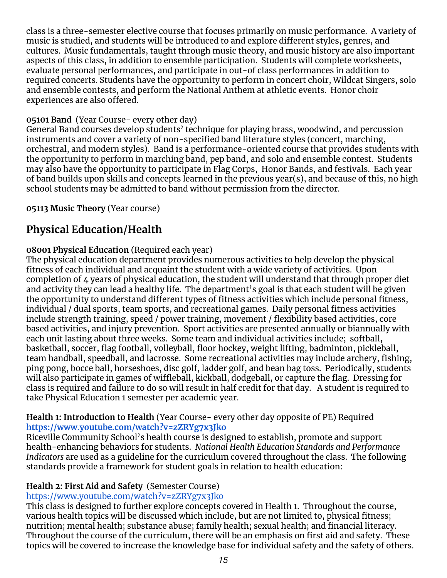class is a three-semester elective course that focuses primarily on music performance. A variety of music is studied, and students will be introduced to and explore different styles, genres, and cultures. Music fundamentals, taught through music theory, and music history are also important aspects of this class, in addition to ensemble participation. Students will complete worksheets, evaluate personal performances, and participate in out-of class performances in addition to required concerts. Students have the opportunity to perform in concert choir, Wildcat Singers, solo and ensemble contests, and perform the National Anthem at athletic events. Honor choir experiences are also offered.

#### **05101 Band** (Year Course- every other day)

General Band courses develop students' technique for playing brass, woodwind, and percussion instruments and cover a variety of non-specified band literature styles (concert, marching, orchestral, and modern styles). Band is a performance-oriented course that provides students with the opportunity to perform in marching band, pep band, and solo and ensemble contest. Students may also have the opportunity to participate in Flag Corps, Honor Bands, and festivals. Each year of band builds upon skills and concepts learned in the previous year(s), and because of this, no high school students may be admitted to band without permission from the director.

#### **05113 Music Theory** (Year course)

# **Physical Education/Health**

#### **08001 Physical Education** (Required each year)

The physical education department provides numerous activities to help develop the physical fitness of each individual and acquaint the student with a wide variety of activities. Upon completion of 4 years of physical education, the student will understand that through proper diet and activity they can lead a healthy life. The department's goal is that each student will be given the opportunity to understand different types of fitness activities which include personal fitness, individual / dual sports, team sports, and recreational games. Daily personal fitness activities include strength training, speed / power training, movement / flexibility based activities, core based activities, and injury prevention. Sport activities are presented annually or biannually with each unit lasting about three weeks. Some team and individual activities include; softball, basketball, soccer, flag football, volleyball, floor hockey, weight lifting, badminton, pickleball, team handball, speedball, and lacrosse. Some recreational activities may include archery, fishing, ping pong, bocce ball, horseshoes, disc golf, ladder golf, and bean bag toss. Periodically, students will also participate in games of wiffleball, kickball, dodgeball, or capture the flag. Dressing for class is required and failure to do so will result in half credit for that day. A student is required to take Physical Education 1 semester per academic year.

#### **Health 1: Introduction to Health** (Year Course- every other day opposite of PE) Required **<https://www.youtube.com/watch?v=zZRYg7x3Jko>**

Riceville Community School's health course is designed to establish, promote and support health-enhancing behaviors for students. *National Health Education Standards and Performance Indicators* are used as a guideline for the curriculum covered throughout the class. The following standards provide a framework for student goals in relation to health education:

#### **Health 2: First Aid and Safety** (Semester Course)

#### <https://www.youtube.com/watch?v=zZRYg7x3Jko>

This class is designed to further explore concepts covered in Health 1. Throughout the course, various health topics will be discussed which include, but are not limited to, physical fitness; nutrition; mental health; substance abuse; family health; sexual health; and financial literacy. Throughout the course of the curriculum, there will be an emphasis on first aid and safety. These topics will be covered to increase the knowledge base for individual safety and the safety of others.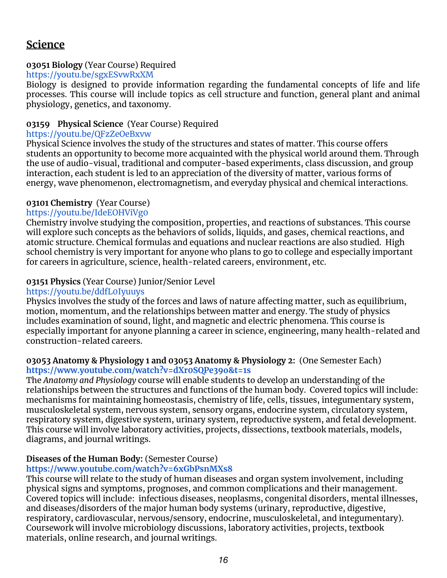## **Science**

#### **03051 Biology** (Year Course) Required

#### <https://youtu.be/sgxESvwRxXM>

Biology is designed to provide information regarding the fundamental concepts of life and life processes. This course will include topics as cell structure and function, general plant and animal physiology, genetics, and taxonomy.

#### **03159 Physical Science** (Year Course) Required

#### <https://youtu.be/QFzZeOeBxvw>

Physical Science involves the study of the structures and states of matter. This course offers students an opportunity to become more acquainted with the physical world around them. Through the use of audio-visual, traditional and computer-based experiments, class discussion, and group interaction, each student is led to an appreciation of the diversity of matter, various forms of energy, wave phenomenon, electromagnetism, and everyday physical and chemical interactions.

#### **03101 Chemistry** (Year Course)

#### <https://youtu.be/IdeEOHViVg0>

Chemistry involve studying the composition, properties, and reactions of substances. This course will explore such concepts as the behaviors of solids, liquids, and gases, chemical reactions, and atomic structure. Chemical formulas and equations and nuclear reactions are also studied. High school chemistry is very important for anyone who plans to go to college and especially important for careers in agriculture, science, health-related careers, environment, etc.

#### **03151 Physics** (Year Course) Junior/Senior Level

#### <https://youtu.be/ddfL0Iyuuys>

Physics involves the study of the forces and laws of nature affecting matter, such as equilibrium, motion, momentum, and the relationships between matter and energy. The study of physics includes examination of sound, light, and magnetic and electric phenomena. This course is especially important for anyone planning a career in science, engineering, many health-related and construction-related careers.

#### **03053 Anatomy & Physiology 1 and 03053 Anatomy & Physiology 2:** (One Semester Each) **<https://www.youtube.com/watch?v=dXr0SQPe39o&t=1s>**

The *Anatomy and Physiology* course will enable students to develop an understanding of the relationships between the structures and functions of the human body. Covered topics will include: mechanisms for maintaining homeostasis, chemistry of life, cells, tissues, integumentary system, musculoskeletal system, nervous system, sensory organs, endocrine system, circulatory system, respiratory system, digestive system, urinary system, reproductive system, and fetal development. This course will involve laboratory activities, projects, dissections, textbook materials, models, diagrams, and journal writings.

#### **Diseases of the Human Body:** (Semester Course)

#### **<https://www.youtube.com/watch?v=6xGbPsnMXs8>**

This course will relate to the study of human diseases and organ system involvement, including physical signs and symptoms, prognoses, and common complications and their management. Covered topics will include: infectious diseases, neoplasms, congenital disorders, mental illnesses, and diseases/disorders of the major human body systems (urinary, reproductive, digestive, respiratory, cardiovascular, nervous/sensory, endocrine, musculoskeletal, and integumentary). Coursework will involve microbiology discussions, laboratory activities, projects, textbook materials, online research, and journal writings.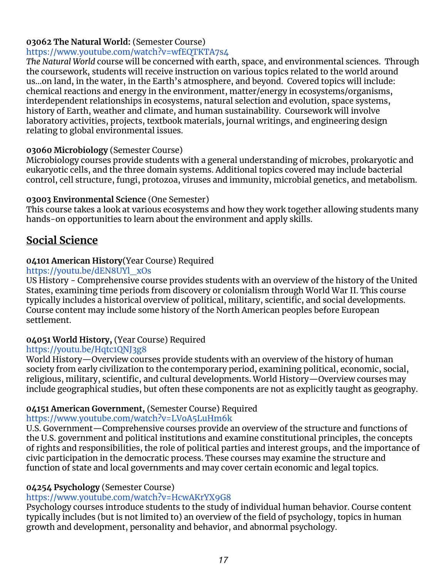#### **03062 The Natural World:** (Semester Course)

#### <https://www.youtube.com/watch?v=wfEQTKTA7s4>

*The Natural World* course will be concerned with earth, space, and environmental sciences. Through the coursework, students will receive instruction on various topics related to the world around us...on land, in the water, in the Earth's atmosphere, and beyond. Covered topics will include: chemical reactions and energy in the environment, matter/energy in ecosystems/organisms, interdependent relationships in ecosystems, natural selection and evolution, space systems, history of Earth, weather and climate, and human sustainability. Coursework will involve laboratory activities, projects, textbook materials, journal writings, and engineering design relating to global environmental issues.

#### **03060 Microbiology** (Semester Course)

Microbiology courses provide students with a general understanding of microbes, prokaryotic and eukaryotic cells, and the three domain systems. Additional topics covered may include bacterial control, cell structure, fungi, protozoa, viruses and immunity, microbial genetics, and metabolism.

#### **03003 Environmental Science** (One Semester)

This course takes a look at various ecosystems and how they work together allowing students many hands-on opportunities to learn about the environment and apply skills.

## **Social Science**

#### **04101 American History**(Year Course) Required

#### [https://youtu.be/dEN8UYl\\_xOs](https://youtu.be/dEN8UYl_xOs)

US History - Comprehensive course provides students with an overview of the history of the United States, examining time periods from discovery or colonialism through World War II. This course typically includes a historical overview of political, military, scientific, and social developments. Course content may include some history of the North American peoples before European settlement.

#### **04051 World History,** (Year Course) Required

#### <https://youtu.be/Hqtc1QNJ3g8>

World History—Overview courses provide students with an overview of the history of human society from early civilization to the contemporary period, examining political, economic, social, religious, military, scientific, and cultural developments. World History—Overview courses may include geographical studies, but often these components are not as explicitly taught as geography.

#### **04151 American Government,** (Semester Course) Required

#### <https://www.youtube.com/watch?v=LVoA5LuHm6k>

U.S. Government—Comprehensive courses provide an overview of the structure and functions of the U.S. government and political institutions and examine constitutional principles, the concepts of rights and responsibilities, the role of political parties and interest groups, and the importance of civic participation in the democratic process. These courses may examine the structure and function of state and local governments and may cover certain economic and legal topics.

#### **04254 Psychology** (Semester Course)

#### <https://www.youtube.com/watch?v=HcwAKrYX9G8>

Psychology courses introduce students to the study of individual human behavior. Course content typically includes (but is not limited to) an overview of the field of psychology, topics in human growth and development, personality and behavior, and abnormal psychology.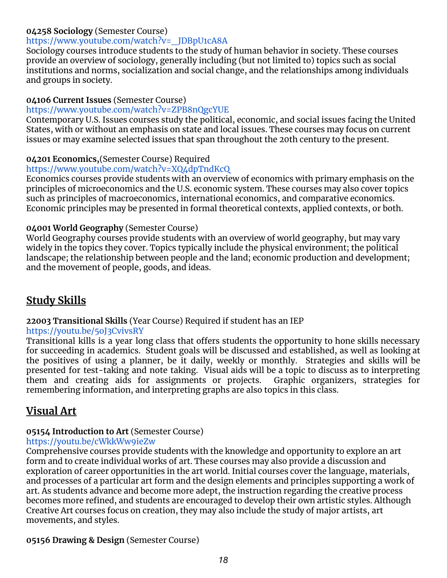#### **04258 Sociology** (Semester Course)

#### [https://www.youtube.com/watch?v=\\_JDBpU1cA8A](https://www.youtube.com/watch?v=_JDBpU1cA8A)

Sociology courses introduce students to the study of human behavior in society. These courses provide an overview of sociology, generally including (but not limited to) topics such as social institutions and norms, socialization and social change, and the relationships among individuals and groups in society.

#### **04106 Current Issues** (Semester Course)

#### https://www.youtube.com/watch?v=ZPB8nQgcYUE

Contemporary U.S. Issues courses study the political, economic, and social issues facing the United States, with or without an emphasis on state and local issues. These courses may focus on current issues or may examine selected issues that span throughout the 20th century to the present.

#### **04201 Economics,**(Semester Course) Required

#### <https://www.youtube.com/watch?v=XQ4dpTndKcQ>

Economics courses provide students with an overview of economics with primary emphasis on the principles of microeconomics and the U.S. economic system. These courses may also cover topics such as principles of macroeconomics, international economics, and comparative economics. Economic principles may be presented in formal theoretical contexts, applied contexts, or both.

#### **04001 World Geography** (Semester Course)

World Geography courses provide students with an overview of world geography, but may vary widely in the topics they cover. Topics typically include the physical environment; the political landscape; the relationship between people and the land; economic production and development; and the movement of people, goods, and ideas.

# **Study Skills**

#### **22003 Transitional Skills** (Year Course) Required if student has an IEP

#### <https://youtu.be/5oJ3CvivsRY>

Transitional kills is a year long class that offers students the opportunity to hone skills necessary for succeeding in academics. Student goals will be discussed and established, as well as looking at the positives of using a planner, be it daily, weekly or monthly. Strategies and skills will be presented for test-taking and note taking. Visual aids will be a topic to discuss as to interpreting them and creating aids for assignments or projects. Graphic organizers, strategies for remembering information, and interpreting graphs are also topics in this class.

# **Visual Art**

#### **05154 Introduction to Art** (Semester Course)

#### <https://youtu.be/cWkkWw9ieZw>

Comprehensive courses provide students with the knowledge and opportunity to explore an art form and to create individual works of art. These courses may also provide a discussion and exploration of career opportunities in the art world. Initial courses cover the language, materials, and processes of a particular art form and the design elements and principles supporting a work of art. As students advance and become more adept, the instruction regarding the creative process becomes more refined, and students are encouraged to develop their own artistic styles. Although Creative Art courses focus on creation, they may also include the study of major artists, art movements, and styles.

#### **05156 Drawing & Design** (Semester Course)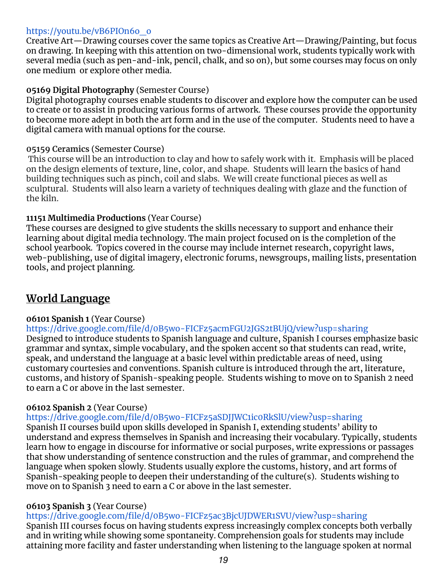#### [https://youtu.be/vB6PIOn6o\\_o](https://youtu.be/vB6PIOn6o_o)

Creative Art—Drawing courses cover the same topics as Creative Art—Drawing/Painting, but focus on drawing. In keeping with this attention on two-dimensional work, students typically work with several media (such as pen-and-ink, pencil, chalk, and so on), but some courses may focus on only one medium or explore other media.

#### **05169 Digital Photography** (Semester Course)

Digital photography courses enable students to discover and explore how the computer can be used to create or to assist in producing various forms of artwork. These courses provide the opportunity to become more adept in both the art form and in the use of the computer. Students need to have a digital camera with manual options for the course.

#### **05159 Ceramics** (Semester Course)

This course will be an introduction to clay and how to safely work with it. Emphasis will be placed on the design elements of texture, line, color, and shape. Students will learn the basics of hand building techniques such as pinch, coil and slabs. We will create functional pieces as well as sculptural. Students will also learn a variety of techniques dealing with glaze and the function of the kiln.

#### **11151 Multimedia Productions** (Year Course)

These courses are designed to give students the skills necessary to support and enhance their learning about digital media technology. The main project focused on is the completion of the school yearbook. Topics covered in the course may include internet research, copyright laws, web-publishing, use of digital imagery, electronic forums, newsgroups, mailing lists, presentation tools, and project planning.

# **World Language**

#### **06101 Spanish 1** (Year Course)

<https://drive.google.com/file/d/0B5wo-FICFz5acmFGU2JGS2tBUjQ/view?usp=sharing> Designed to introduce students to Spanish language and culture, Spanish I courses emphasize basic grammar and syntax, simple vocabulary, and the spoken accent so that students can read, write, speak, and understand the language at a basic level within predictable areas of need, using customary courtesies and conventions. Spanish culture is introduced through the art, literature, customs, and history of Spanish-speaking people. Students wishing to move on to Spanish 2 need to earn a C or above in the last semester.

#### **06102 Spanish 2** (Year Course)

<https://drive.google.com/file/d/0B5wo-FICFz5aSDJJWC1ic0RkSlU/view?usp=sharing> Spanish II courses build upon skills developed in Spanish I, extending students' ability to understand and express themselves in Spanish and increasing their vocabulary. Typically, students learn how to engage in discourse for informative or social purposes, write expressions or passages that show understanding of sentence construction and the rules of grammar, and comprehend the language when spoken slowly. Students usually explore the customs, history, and art forms of Spanish-speaking people to deepen their understanding of the culture(s). Students wishing to move on to Spanish 3 need to earn a C or above in the last semester.

#### **06103 Spanish 3** (Year Course)

<https://drive.google.com/file/d/0B5wo-FICFz5ac3BjcUJDWER1SVU/view?usp=sharing> Spanish III courses focus on having students express increasingly complex concepts both verbally and in writing while showing some spontaneity. Comprehension goals for students may include attaining more facility and faster understanding when listening to the language spoken at normal